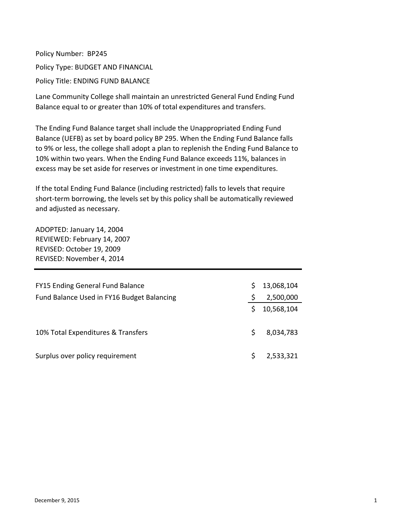Policy Number: BP245 Policy Type: BUDGET AND FINANCIAL Policy Title: ENDING FUND BALANCE

Lane Community College shall maintain an unrestricted General Fund Ending Fund Balance equal to or greater than 10% of total expenditures and transfers.

The Ending Fund Balance target shall include the Unappropriated Ending Fund Balance (UEFB) as set by board policy BP 295. When the Ending Fund Balance falls to 9% or less, the college shall adopt a plan to replenish the Ending Fund Balance to 10% within two years. When the Ending Fund Balance exceeds 11%, balances in excess may be set aside for reserves or investment in one time expenditures.

If the total Ending Fund Balance (including restricted) falls to levels that require short-term borrowing, the levels set by this policy shall be automatically reviewed and adjusted as necessary.

ADOPTED: January 14, 2004 REVIEWED: February 14, 2007 REVISED: October 19, 2009 REVISED: November 4, 2014

| FY15 Ending General Fund Balance           |   | 13,068,104 |
|--------------------------------------------|---|------------|
| Fund Balance Used in FY16 Budget Balancing |   | 2,500,000  |
|                                            |   | 10,568,104 |
| 10% Total Expenditures & Transfers         | Ś | 8,034,783  |
| Surplus over policy requirement            |   | 2,533,321  |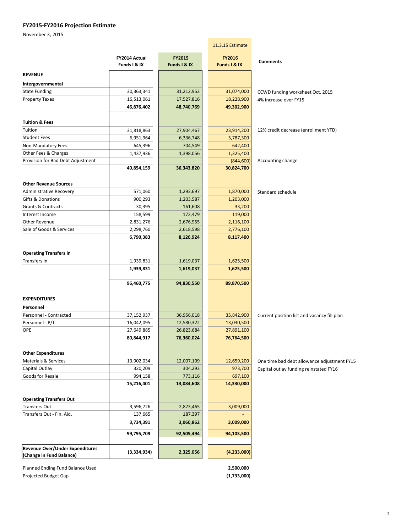## **FY2015‐FY2016 Projection Estimate**

November 3, 2015

|                                   |                               |                        | 11.3.15 Estimate       |                                             |
|-----------------------------------|-------------------------------|------------------------|------------------------|---------------------------------------------|
|                                   | FY2014 Actual<br>Funds I & IX | FY2015<br>Funds I & IX | FY2016<br>Funds I & IX | <b>Comments</b>                             |
| <b>REVENUE</b>                    |                               |                        |                        |                                             |
| Intergovernmental                 |                               |                        |                        |                                             |
| <b>State Funding</b>              | 30,363,341                    | 31,212,953             | 31,074,000             | CCWD funding worksheet Oct. 2015            |
| <b>Property Taxes</b>             | 16,513,061                    | 17,527,816             | 18,228,900             | 4% increase over FY15                       |
|                                   | 46,876,402                    | 48,740,769             | 49,302,900             |                                             |
| <b>Tuition &amp; Fees</b>         |                               |                        |                        |                                             |
| Tuition                           | 31,818,863                    | 27,904,467             | 23,914,200             | 12% credit decrease (enrollment YTD)        |
| <b>Student Fees</b>               | 6,951,964                     | 6,336,748              | 5,787,300              |                                             |
| Non-Mandatory Fees                | 645,396                       | 704,549                | 642,400                |                                             |
| Other Fees & Charges              | 1,437,936                     | 1,398,056              | 1,325,400              |                                             |
| Provision for Bad Debt Adjustment |                               |                        | (844, 600)             | Accounting change                           |
|                                   | 40,854,159                    | 36,343,820             | 30,824,700             |                                             |
| <b>Other Revenue Sources</b>      |                               |                        |                        |                                             |
| <b>Administrative Recovery</b>    | 571,060                       | 1,293,697              | 1,870,000              | Standard schedule                           |
| <b>Gifts &amp; Donations</b>      | 900,293                       | 1,203,587              | 1,203,000              |                                             |
| Grants & Contracts                | 30,395                        | 161,608                | 33,200                 |                                             |
| Interest Income                   | 158,599                       | 172,479                | 119,000                |                                             |
| <b>Other Revenue</b>              | 2,831,276                     | 2,676,955              | 2,116,100              |                                             |
| Sale of Goods & Services          | 2,298,760                     | 2,618,598              | 2,776,100              |                                             |
|                                   | 6,790,383                     | 8,126,924              | 8,117,400              |                                             |
| <b>Operating Transfers In</b>     |                               |                        |                        |                                             |
| Transfers In                      | 1,939,831                     | 1,619,037              | 1,625,500              |                                             |
|                                   | 1,939,831                     | 1,619,037              | 1,625,500              |                                             |
|                                   | 96,460,775                    | 94,830,550             | 89,870,500             |                                             |
| <b>EXPENDITURES</b>               |                               |                        |                        |                                             |
| Personnel                         |                               |                        |                        |                                             |
| Personnel - Contracted            | 37,152,937                    | 36,956,018             | 35,842,900             | Current position list and vacancy fill plan |
| Personnel - P/T                   | 16,042,095                    | 12,580,322             | 13,030,500             |                                             |
| OPE                               | 27,649,885                    | 26,823,684             | 27,891,100             |                                             |
|                                   | 80,844,917                    | 76,360,024             | 76,764,500             |                                             |
| <b>Other Expenditures</b>         |                               |                        |                        |                                             |
| <b>Materials &amp; Services</b>   | 13,902,034                    | 12,007,199             | 12,659,200             | One time bad debt allowance adjustment FY15 |
| Capital Outlay                    | 320,209                       | 304,293                | 973,700                | Capital outlay funding reinstated FY16      |
| Goods for Resale                  | 994,158                       | 773,116                | 697,100                |                                             |
|                                   | 15,216,401                    | 13,084,608             | 14,330,000             |                                             |
| <b>Operating Transfers Out</b>    |                               |                        |                        |                                             |
| Transfers Out                     | 3,596,726                     | 2,873,465              | 3,009,000              |                                             |
| Transfers Out - Fin. Aid.         | 137,665                       | 187,397                |                        |                                             |
|                                   | 3,734,391                     | 3,060,862              | 3,009,000              |                                             |
|                                   | 99,795,709                    | 92,505,494             | 94,103,500             |                                             |
| Revenue Over/Under Expenditures   |                               |                        |                        |                                             |
| (Change in Fund Balance)          | (3,334,934)                   | 2,325,056              | (4, 233, 000)          |                                             |

Planned Ending Fund Balance Used **2,500,000 2,500,000** Projected Budget Gap  **(1,733,000)**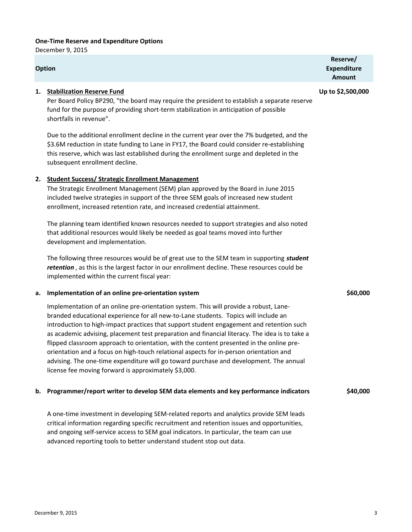## **One‐Time Reserve and Expenditure Options**

December 9, 2015

#### **Option**

## **1. Stabilization Reserve Fund Up to \$2,500,000**

Per Board Policy BP290, "the board may require the president to establish a separate reserve fund for the purpose of providing short-term stabilization in anticipation of possible shortfalls in revenue".

Due to the additional enrollment decline in the current year over the 7% budgeted, and the \$3.6M reduction in state funding to Lane in FY17, the Board could consider re-establishing this reserve, which was last established during the enrollment surge and depleted in the subsequent enrollment decline.

## **2. Student Success/ Strategic Enrollment Management**

The Strategic Enrollment Management (SEM) plan approved by the Board in June 2015 included twelve strategies in support of the three SEM goals of increased new student enrollment, increased retention rate, and increased credential attainment.

The planning team identified known resources needed to support strategies and also noted that additional resources would likely be needed as goal teams moved into further development and implementation.

The following three resources would be of great use to the SEM team in supporting *student retention* , as this is the largest factor in our enrollment decline. These resources could be implemented within the current fiscal year:

#### **a. Implementation of an online pre‐orientation system \$60,000**

Implementation of an online pre‐orientation system. This will provide a robust, Lane‐ branded educational experience for all new‐to‐Lane students. Topics will include an introduction to high-impact practices that support student engagement and retention such as academic advising, placement test preparation and financial literacy. The idea is to take a flipped classroom approach to orientation, with the content presented in the online preorientation and a focus on high‐touch relational aspects for in‐person orientation and advising. The one‐time expenditure will go toward purchase and development. The annual license fee moving forward is approximately \$3,000.

#### **b. Programmer/report writer to develop SEM data elements and key performance indicators \$40,000**

A one‐time investment in developing SEM‐related reports and analytics provide SEM leads critical information regarding specific recruitment and retention issues and opportunities, and ongoing self-service access to SEM goal indicators. In particular, the team can use advanced reporting tools to better understand student stop out data.

**Reserve/ Expenditure Amount**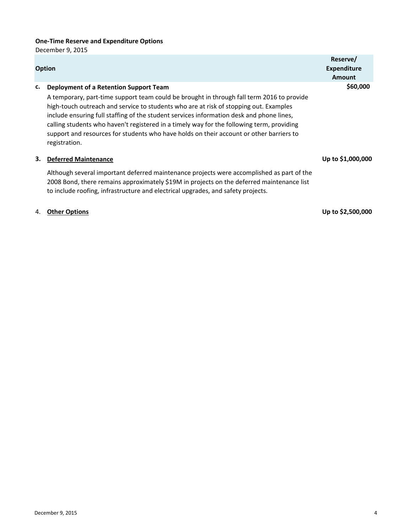# **One‐Time Reserve and Expenditure Options**

December 9, 2015

|    | <b>Option</b>                                                                                                                                                                                                                                                                                                                                                                                                                                                                                                                     | Reserve/<br><b>Expenditure</b><br>Amount |
|----|-----------------------------------------------------------------------------------------------------------------------------------------------------------------------------------------------------------------------------------------------------------------------------------------------------------------------------------------------------------------------------------------------------------------------------------------------------------------------------------------------------------------------------------|------------------------------------------|
| c. | Deployment of a Retention Support Team<br>A temporary, part-time support team could be brought in through fall term 2016 to provide<br>high-touch outreach and service to students who are at risk of stopping out. Examples<br>include ensuring full staffing of the student services information desk and phone lines,<br>calling students who haven't registered in a timely way for the following term, providing<br>support and resources for students who have holds on their account or other barriers to<br>registration. | \$60,000                                 |
| З. | <b>Deferred Maintenance</b>                                                                                                                                                                                                                                                                                                                                                                                                                                                                                                       | Up to \$1,000,000                        |
|    | Although several important deferred maintenance projects were accomplished as part of the<br>2008 Bond, there remains approximately \$19M in projects on the deferred maintenance list<br>to include roofing, infrastructure and electrical upgrades, and safety projects.                                                                                                                                                                                                                                                        |                                          |
| 4. | <b>Other Options</b>                                                                                                                                                                                                                                                                                                                                                                                                                                                                                                              | Up to \$2,500,000                        |